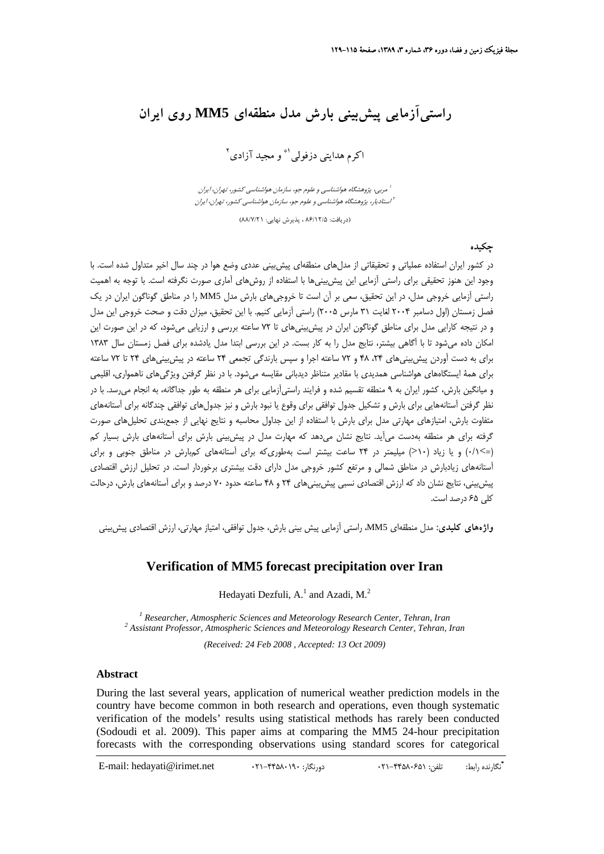# **راستيآزمايي پيشبيني بارش مدل منطقهاي 5MM روي ايران**

کرم هدايتي دزفولي<sup>(\*</sup> و مجيد آزادي<sup>۲</sup>

مربي، پژوهشگاه هواشناسي <sup>و</sup> علوم جو، سازمان هواشناسي كشور، تهران، ايران <sup>1</sup> استاديار، پژوهشگاه هواشناسي <sup>و</sup> علوم جو، سازمان هواشناسي كشور، تهران، ايران <sup>2</sup> (دريافت: 86/12/5 ، پذيرش نهايي: 88/7/21)

**چكيده**

در كشور ايران استفاده عملياتي و تحقيقاتي از مدلهاي منطقهاي پيشبيني عددي وضع هوا در چند سال اخير متداول شده است. با وجود اين هنوز تحقيقي براي راستي آزمايي اين پيشبينيها با استفاده از روشهاي آماري صورت نگرفته است. با توجه به اهميت راستي آزمايي خروجي مدل، در اين تحقيق، سعي بر آن است تا خروجيهاي بارش مدل 5MM را در مناطق گوناگون ايران در يك فصل زمستان (اول دسامبر 2004 لغايت 31 مارس 2005) راستي آزمايي كنيم. با اين تحقيق، ميزان دقت و صحت خروجي اين مدل و در نتيجه كارايي مدل براي مناطق گوناگون ايران در پيشبينيهاي تا 72 ساعته بررسي و ارزيابي ميشود، كه در اين صورت اين امكان داده ميشود تا با آگاهي بيشتر، نتايج مدل را به كار بست. در اين بررسي ابتدا مدل يادشده براي فصل زمستان سال 1383 براي به دست آوردن پيشبينيهاي ،24 48 و 72 ساعته اجرا و سپس بارندگي تجمعي 24 ساعته در پيشبينيهاي 24 تا 72 ساعته براي همة ايستگاههاي هواشناسي همديدي با مقادير متناظر ديدباني مقايسه ميشود. با در نظر گرفتن ويژگيهاي ناهمواري، اقليمي و ميانگين بارش، كشور ايران به 9 منطقه تقسيم شده و فرايند راستيآزمايي براي هر منطقه به طور جداگانه، به انجام ميرسد. با در نظر گرفتن آستانههايي براي بارش و تشكيل جدول توافقي براي وقوع يا نبود بارش و نيز جدولهاي توافقي چندگانه براي آستانههاي متفاوت بارش، امتيازهاي مهارتي مدل براي بارش با استفاده از اين جداول محاسبه و نتايج نهايي از جمعبندي تحليلهاي صورت گرفته براي هر منطقه بهدست ميآيد. نتايج نشان ميدهد كه مهارت مدل در پيشبيني بارش براي آستانههاي بارش بسيار كم (=>0/1) و يا زياد (10<) ميليمتر در 24 ساعت بيشتر است بهطوريكه براي آستانههاي كمبارش در مناطق جنوبي و براي آستانههاي زيادبارش در مناطق شمالي و مرتفع كشور خروجي مدل داراي دقت بيشتري برخوردار است. در تحليل ارزش اقتصادي پيشبيني، نتايج نشان داد كه ارزش اقتصادي نسبي پيشبينيهاي 24 و 48 ساعته حدود 70 درصد و براي آستانههاي بارش، درحالت كلي 65 درصد است.

**واژههاي كليدي:** مدل منطقهاي 5MM، راستي آزمايي پيش بيني بارش، جدول توافقي، امتياز مهارتي، ارزش اقتصادي پيشبيني

### **Verification of MM5 forecast precipitation over Iran**

Hedayati Dezfuli,  $A<sup>1</sup>$  and Azadi, M.<sup>2</sup>

<sup>1</sup> Researcher, Atmospheric Sciences and Meteorology Research Center, Tehran, Iran <sup>2</sup> Assistant Professor, Atmospheric Sciences and Meteorology Research Center, Tehran, 1  *Assistant Professor, Atmospheric Sciences and Meteorology Research Center, Tehran, Iran* 

*(Received: 24 Feb 2008 , Accepted: 13 Oct 2009)*

#### **Abstract**

During the last several years, application of numerical weather prediction models in the country have become common in both research and operations, even though systematic verification of the models' results using statistical methods has rarely been conducted (Sodoudi et al. 2009). This paper aims at comparing the MM5 24-hour precipitation forecasts with the corresponding observations using standard scores for categorical

**\*** E-mail: hedayati@irimet.net 021-44580190 :دورنگار 021-44580651 :تلفن :رابط نگارنده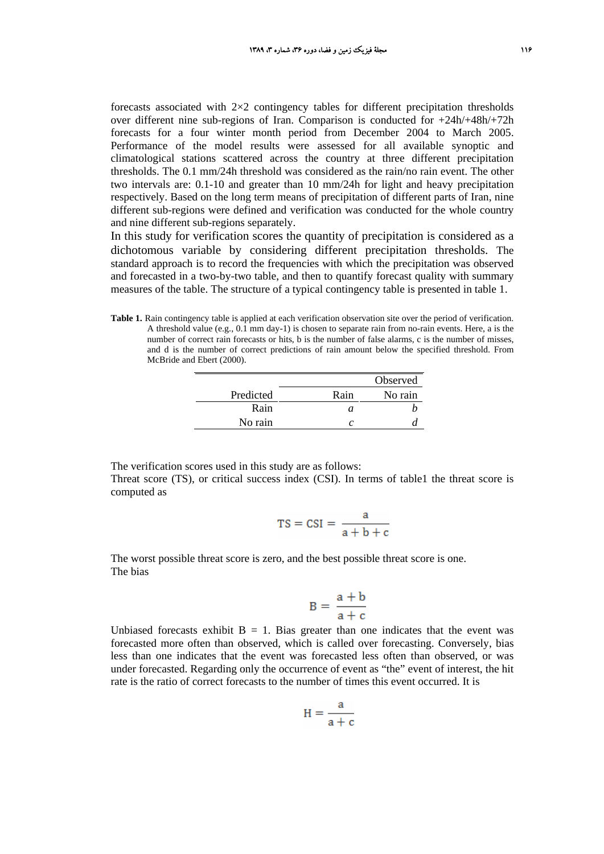forecasts associated with  $2\times2$  contingency tables for different precipitation thresholds over different nine sub-regions of Iran. Comparison is conducted for +24h/+48h/+72h forecasts for a four winter month period from December 2004 to March 2005. Performance of the model results were assessed for all available synoptic and climatological stations scattered across the country at three different precipitation thresholds. The 0.1 mm/24h threshold was considered as the rain/no rain event. The other two intervals are: 0.1-10 and greater than 10 mm/24h for light and heavy precipitation respectively. Based on the long term means of precipitation of different parts of Iran, nine different sub-regions were defined and verification was conducted for the whole country and nine different sub-regions separately.

In this study for verification scores the quantity of precipitation is considered as a dichotomous variable by considering different precipitation thresholds. The standard approach is to record the frequencies with which the precipitation was observed and forecasted in a two-by-two table, and then to quantify forecast quality with summary measures of the table. The structure of a typical contingency table is presented in table 1.

**Table 1.** Rain contingency table is applied at each verification observation site over the period of verification. A threshold value (e.g., 0.1 mm day-1) is chosen to separate rain from no-rain events. Here, a is the number of correct rain forecasts or hits, b is the number of false alarms, c is the number of misses, and d is the number of correct predictions of rain amount below the specified threshold. From McBride and Ebert (2000).

|           |      | Observed |
|-----------|------|----------|
| Predicted | Rain | No rain  |
| Rain      | a.   |          |
| No rain   |      |          |

The verification scores used in this study are as follows: Threat score (TS), or critical success index (CSI). In terms of table1 the threat score is computed as

$$
TS = CSI = \frac{a}{a + b + c}
$$

The worst possible threat score is zero, and the best possible threat score is one. The bias

$$
B = \frac{a+b}{a+c}
$$

Unbiased forecasts exhibit  $B = 1$ . Bias greater than one indicates that the event was forecasted more often than observed, which is called over forecasting. Conversely, bias less than one indicates that the event was forecasted less often than observed, or was under forecasted. Regarding only the occurrence of event as "the" event of interest, the hit rate is the ratio of correct forecasts to the number of times this event occurred. It is

$$
H = \frac{a}{a + c}
$$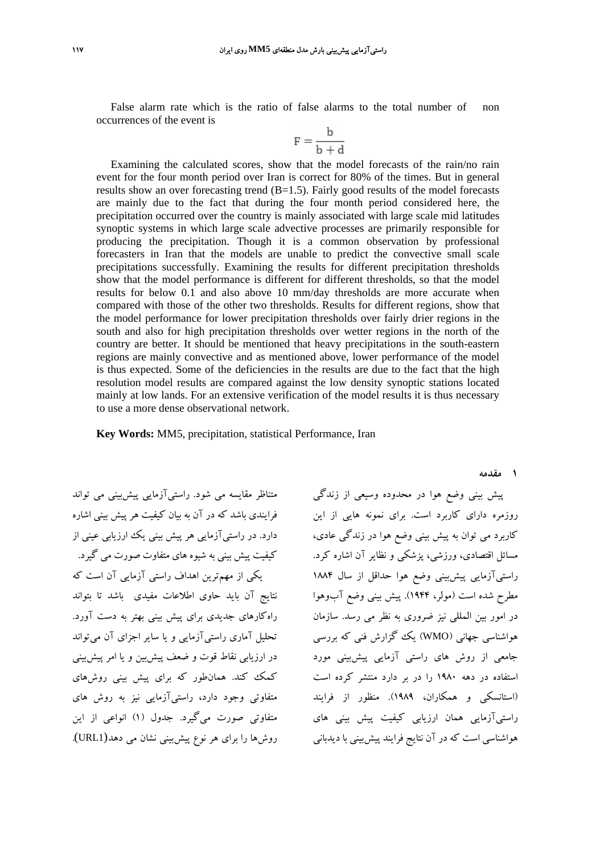False alarm rate which is the ratio of false alarms to the total number of non occurrences of the event is

$$
F = \frac{b}{b+d}
$$

Examining the calculated scores, show that the model forecasts of the rain/no rain event for the four month period over Iran is correct for 80% of the times. But in general results show an over forecasting trend  $(B=1.5)$ . Fairly good results of the model forecasts are mainly due to the fact that during the four month period considered here, the precipitation occurred over the country is mainly associated with large scale mid latitudes synoptic systems in which large scale advective processes are primarily responsible for producing the precipitation. Though it is a common observation by professional forecasters in Iran that the models are unable to predict the convective small scale precipitations successfully. Examining the results for different precipitation thresholds show that the model performance is different for different thresholds, so that the model results for below 0.1 and also above 10 mm/day thresholds are more accurate when compared with those of the other two thresholds. Results for different regions, show that the model performance for lower precipitation thresholds over fairly drier regions in the south and also for high precipitation thresholds over wetter regions in the north of the country are better. It should be mentioned that heavy precipitations in the south-eastern regions are mainly convective and as mentioned above, lower performance of the model is thus expected. Some of the deficiencies in the results are due to the fact that the high resolution model results are compared against the low density synoptic stations located mainly at low lands. For an extensive verification of the model results it is thus necessary to use a more dense observational network.

**Key Words:** MM5, precipitation, statistical Performance, Iran

متناظر مقايسه مي شود. راستيآزمايي پيشبيني مي تواند فرايندي باشد كه در آن به بيان كيفيت هر پيش بيني اشاره دارد. در راستيآزمايي هر پيش بيني يك ارزيابي عيني از كيفيت پيش بيني به شيوه هاي متفاوت صورت مي گيرد. يكي از مهمترين اهداف راستي آزمايي آن است كه نتايج آن بايد حاوي اطلاعات مفيدي باشد تا بتواند راهكارهاي جديدي براي پيش بيني بهتر به دست آورد. تحليل آماري راستيآزمايي و يا ساير اجزاي آن ميتواند در ارزيابي نقاط قوت و ضعف پيشبين و يا امر پيشبيني كمك كند. همانطور كه براي پيش بيني روشهاي متفاوتي وجود دارد، راستيآزمايي نيز به روش هاي متفاوتي صورت ميگيرد. جدول (1) انواعي از اين روشها را براي هر نوع پيشبيني نشان مي دهد(1URL(. **1 مقدمه**

پيش بيني وضع هوا در محدوده وسيعي از زندگي روزمره داراي كاربرد است. براي نمونه هايي از اين كاربرد مي توان به پيش بيني وضع هوا در زندگي عادي، مسائل اقتصادي، ورزشي، پزشكي و نظاير آن اشاره كرد. راستيآزمايي پيشبيني وضع هوا حداقل از سال 1884 مطرح شده است (مولر، 1944). پيش بيني وضع آبوهوا در امور بين المللي نيز ضروري به نظر مي رسد. سازمان هواشناسي جهاني (WMO (يك گزارش فني كه بررسي جامعي از روش هاي راستي آزمايي پيشبيني مورد استفاده در دهه 1980 را در بر دارد منتشر كرده است (استانسكي و همكاران، 1989). منظور از فرايند راستيآزمايي همان ارزيابي كيفيت پيش بيني هاي هواشناسي است كه در آن نتايج فرايند پيشبيني با ديدباني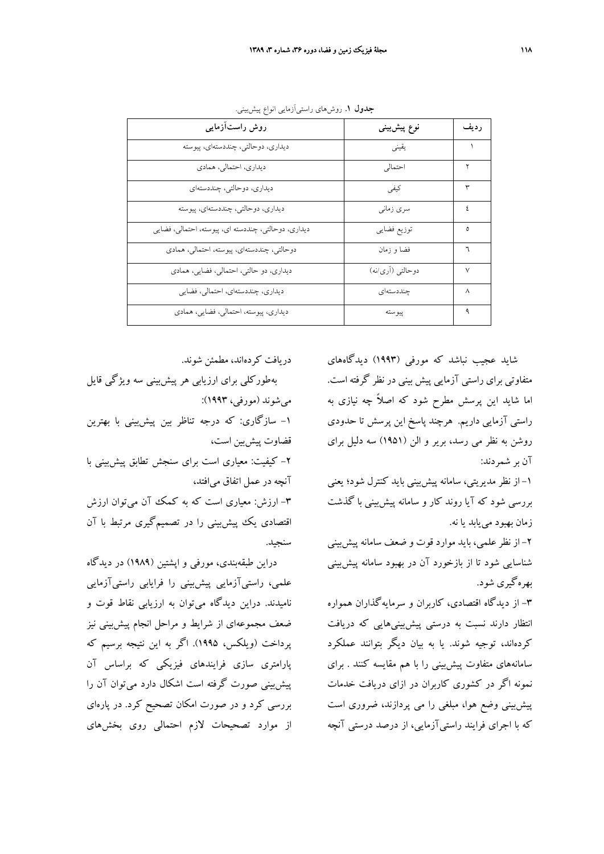| روش راستآزمایی                                      | نوع پیشبینی       | ر ديف |
|-----------------------------------------------------|-------------------|-------|
| دیداری، دوحالتی، چنددستهای، پیوسته                  | يقيني             |       |
| دیداری، احتمالی، همادی                              | احتمالي           | ۲     |
| دیداری، دوحالتی، چنددستهای                          | كيفى              | ٣     |
| ديداري، دوحالتي، چنددستهاي، پيوسته                  | سرى زمانى         | ۶     |
| ديداري، دوحالتي، چنددسته اي، پيوسته، احتمالي، فضايي | توزيع فضايي       | ٥     |
| دوحالتي، چنددستهاي، پيوسته، احتمالي، همادي          | فضا و زمان        | ٦     |
| دیداری، دو حالتی، احتمالی، فضایی، همادی             | دوحالتبي (أرى/نه) | ٧     |
| دیداری، چنددستهای، احتمالی، فضایی                   | جنددستهاى         | л     |
| ديداري، پيوسته، احتمالي، فضايي، همادي               | ييوسته            | ٩     |

**جدول .1** روشهاي راستيآزمايي انواع پيشبيني.

دريافت كردهاند، مطمئن شوند.

بهطوركلي براي ارزيابي هر پيشبيني سه ويژگي قايل ميشوند (مورفي، 1993): -1 سازگاري: كه درجه تناظر بين پيشبيني با بهترين قضاوت پيشبين است، -2 كيفيت: معياري است براي سنجش تطابق پيشبيني با آنچه در عمل اتفاق ميافتد، -3 ارزش: معياري است كه به كمك آن ميتوان ارزش اقتصادي يك پيشبيني را در تصميمگيري مرتبط با آن سنجيد.

دراين طبقهبندي، مورفي و اپشتين (1989) در ديدگاه علمي، راستيآزمايي پيشبيني را فرايابي راستيآزمايي ناميدند. دراين ديدگاه ميتوان به ارزيابي نقاط قوت و ضعف مجموعهاي از شرايط و مراحل انجام پيشبيني نيز پرداخت (ويلكس، 1995). اگر به اين نتيجه برسيم كه پارامتري سازي فرايندهاي فيزيكي كه براساس آن پيشبيني صورت گرفته است اشكال دارد ميتوان آن را بررسي كرد و در صورت امكان تصحيح كرد. در پارهاي از موارد تصحيحات لازم احتمالي روي بخشهاي

شايد عجيب نباشد كه مورفي (1993) ديدگاههاي متفاوتي براي راستي آزمايي پيش بيني در نظر گرفته است. اما شايد اين پرسش مطرح شود كه اصلاً چه نيازي به راستي آزمايي داريم. هرچند پاسخ اين پرسش تا حدودي روشن به نظر مي رسد، برير و الن (1951) سه دليل براي آن بر شمردند:

-1 از نظر مديريتي، سامانه پيشبيني بايد كنترل شود؛ يعني بررسي شود كه آيا روند كار و سامانه پيشبيني با گذشت زمان بهبود مييابد يا نه.

-2 از نظر علمي، بايد موارد قوت و ضعف سامانه پيشبيني شناسايي شود تا از بازخورد آن در بهبود سامانه پيشبيني بهرهگيري شود.

-3 از ديدگاه اقتصادي، كاربران و سرمايهگذاران همواره انتظار دارند نسبت به درستي پيشبينيهايي كه دريافت كردهاند، توجيه شوند. يا به بيان ديگر بتوانند عملكرد سامانههاي متفاوت پيشبيني را با هم مقايسه كنند . براي نمونه اگر در كشوري كاربران در ازاي دريافت خدمات پيشبيني وضع هوا، مبلغي را مي پردازند، ضروري است كه با اجراي فرايند راستيآزمايي، از درصد درستي آنچه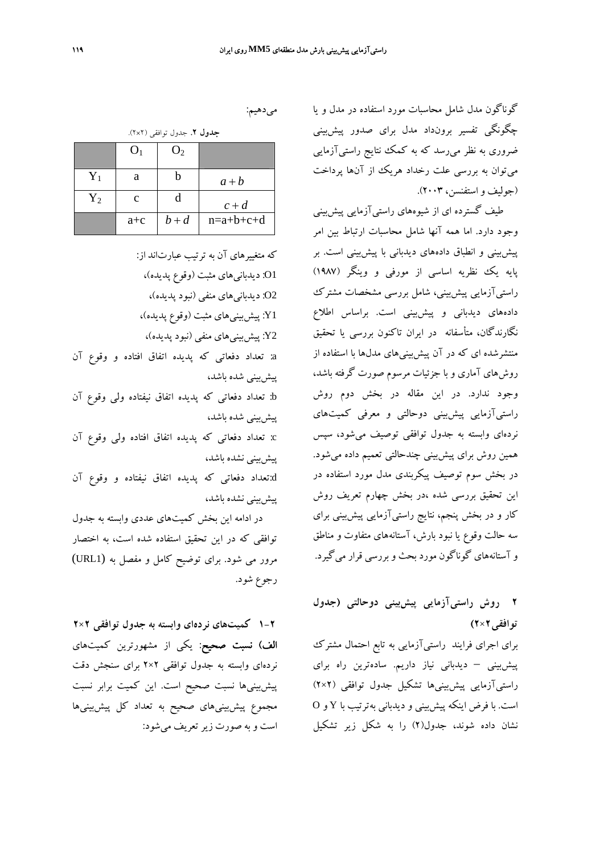گوناگون مدل شامل محاسبات مورد استفاده در مدل و يا چگونگي تفسير برونداد مدل براي صدور پيشبيني ضروري به نظر ميرسد كه به كمك نتايج راستيآزمايي ميتوان به بررسي علت رخداد هريك از آنها پرداخت (جوليف و استفنسن، 2003).

طيف گسترده اي از شيوههاي راستيآزمايي پيشبيني وجود دارد. اما همه آنها شامل محاسبات ارتباط بين امر پيشبيني و انطباق دادههاي ديدباني با پيشبيني است. بر پايه يك نظريه اساسي از مورفي و وينگر (1987) راستيآزمايي پيشبيني، شامل بررسي مشخصات مشترك دادههاي ديدباني و پيشبيني است. براساس اطلاع نگارندگان، متأسفانه در ايران تاكنون بررسي يا تحقيق منتشرشده اي كه در آن پيشبينيهاي مدلها با استفاده از روشهاي آماري و با جزئيات مرسوم صورت گرفته باشد، وجود ندارد. در اين مقاله در بخش دوم روش راستيآزمايي پيشبيني دوحالتي و معرفي كميتهاي نردهاي وابسته به جدول توافقي توصيف ميشود، سپس همين روش براي پيشبيني چندحالتي تعميم داده ميشود. در بخش سوم توصيف پيكربندي مدل مورد استفاده در اين تحقيق بررسي شده ،در بخش چهارم تعريف روش كار و در بخش پنجم، نتايج راستيآزمايي پيشبيني براي سه حالت وقوع يا نبود بارش، آستانههاي متفاوت و مناطق و آستانههاي گوناگون مورد بحث و بررسي قرار ميگيرد.

**2 روش راستيآزمايي پيشبيني دوحالتي (جدول توافقي2×2)**

براي اجراي فرايند راستيآزمايي به تابع احتمال مشترك پيشبيني – ديدباني نياز داريم. سادهترين راه براي راستيآزمايي پيشبينيها تشكيل جدول توافقي (2×2) است. با فرض اينكه پيشبيني و ديدباني بهترتيب با Y و O نشان داده شوند، جدول(2) را به شكل زير تشكيل

ميدهيم:

**جدول .2** جدول توافقي (2×2).

|       | O <sub>1</sub> | O <sub>2</sub> |             |
|-------|----------------|----------------|-------------|
| $Y_1$ | a              |                | $a + b$     |
| $Y_2$ | $\mathcal{C}$  | d              | $c + d$     |
|       | $a + c$        | $b + d$        | $n=a+b+c+d$ |

كه متغييرهاي آن به ترتيب عبارتاند از: 1O: ديدبانيهاي مثبت (وقوع پديده)، 2O: ديدبانيهاي منفي (نبود پديده)، 1Y: پيشبينيهاي مثبت (وقوع پديده)، 2Y: پيشبينيهاي منفي (نبود پديده)، a: تعداد دفعاتي كه پديده اتفاق افتاده و وقوع آن پيشبيني شده باشد، b: تعداد دفعاتي كه پديده اتفاق نيفتاده ولي وقوع آن پيشبيني شده باشد، c: تعداد دفعاتي كه پديده اتفاق افتاده ولي وقوع آن پيشبيني نشده باشد، d:تعداد دفعاتي كه پديده اتفاق نيفتاده و وقوع آن پيشبيني نشده باشد، در ادامه اين بخش كميتهاي عددي وابسته به جدول توافقي كه در اين تحقيق استفاده شده است، به اختصار

مرور مي شود. براي توضيح كامل و مفصل به (1URL( رجوع شود.

**1-2 كميتهاي نردهاي وابسته به جدول توافقي 2×2** الف) نسبت صحيح: يكي از مشهورترين كميتهاي نردهاي وابسته به جدول توافقي 2×2 براي سنجش دقت پيشبينيها نسبت صحيح است. اين كميت برابر نسبت مجموع پيشبينيهاي صحيح به تعداد كل پيشبينيها است و به صورت زيرتعريف ميشود: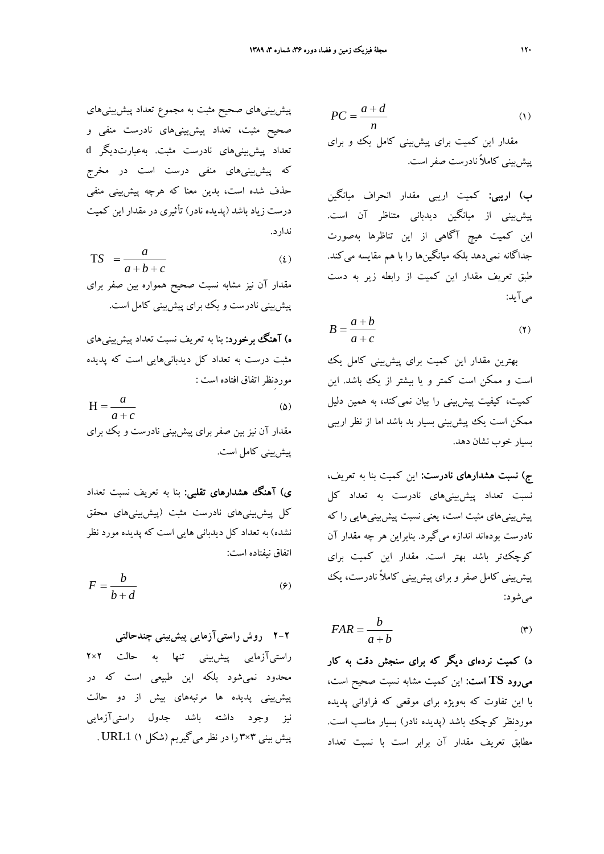پيشبينيهاي صحيح مثبت به مجموع تعداد پيشبينيهاي صحيح مثبت، تعداد پيشبينيهاي نادرست منفي و تعداد پيشبينيهاي نادرست مثبت. بهعبارتديگر d كه پيشبينيهاي منفي درست است در مخرج حذف شده است، بدين معنا كه هرچه پيشبيني منفي درست زياد باشد (پديده نادر) تأثيري در مقدار اين كميت ندارد.

$$
TS = \frac{a}{a+b+c} \tag{2}
$$

مقدار آن نيز مشابه نسبت صحيح همواره بين صفر براي پيشبيني نادرست و يك براي پيشبيني كامل است.

ه) **آهنگ برخورد:** بنا به تعريف نسبت تعداد پيشبييهاي مثبت درست به تعداد كل ديدبانيهايي است كه پديده موردِنظر اتفاق افتاده است :

 $\tilde{\mathcal{L}}(\Delta)$  $a + c$ *a* +  $H =$ مقدار آن نيز بين صفر براي پيشبيني نادرست و يك براي

پيشبيني كامل است.

ی) آهنگ هشدارهای تقلبی: بنا به تعریف نسبت تعداد كل پيشبينيهاي نادرست مثبت (پيشبينيهاي محقق نشده) به تعداد كل ديدباني هايي است كه پديده مورد نظر اتفاق نيفتاده است:

$$
F = \frac{b}{b+d} \tag{9}
$$

**2-2 روش راستيآزمايي پيشبيني چندحالتي** راستيآزمايي پيشبيني تنها به حالت 2×2 محدود نميشود بلكه اين طبيعي است كه در پيشبيني پديده ها مرتبههاي بيش از دو حالت نيز وجود داشته باشد جدول راستيآزمايي پيش بيني 3×3 را در نظر ميگيريم (شكل 1) 1URL .

$$
PC = \frac{a+d}{n}
$$
\n(a)   
\n
$$
P = \frac{a+d}{n}
$$
\n(b)   
\n
$$
P = \frac{1}{n}
$$
\n(c) 
$$
P = \frac{1}{n}
$$
\n(d) 
$$
P = \frac{1}{n}
$$
\n(e) 
$$
P = \frac{1}{n}
$$
\n(f) 
$$
P = \frac{1}{n}
$$
\n(g) 
$$
P = \frac{1}{n}
$$
\n(h) 
$$
P = \frac{1}{n}
$$
\n(i) 
$$
P = \frac{1}{n}
$$
\n(j) 
$$
P = \frac{1}{n}
$$
\n(k) 
$$
P = \frac{1}{n}
$$
\n(l) 
$$
P = \frac{1}{n}
$$
\n(m) 
$$
P = \frac{1}{n}
$$
\n(n) 
$$
P = \frac{1}{n}
$$
\n(n) 
$$
P = \frac{1}{n}
$$
\n(o) 
$$
P = \frac{1}{n}
$$
\n(p) 
$$
P = \frac{1}{n}
$$
\n(p) 
$$
P = \frac{1}{n}
$$
\n(p) 
$$
P = \frac{1}{n}
$$
\n(p) 
$$
P = \frac{1}{n}
$$
\n(p) 
$$
P = \frac{1}{n}
$$
\n(p) 
$$
P = \frac{1}{n}
$$
\n(p) 
$$
P = \frac{1}{n}
$$
\n(p) 
$$
P = \frac{1}{n}
$$
\n(p) 
$$
P = \frac{1}{n}
$$
\n(p) 
$$
P = \frac{1}{n}
$$
\n(p) 
$$
P = \frac{1}{n}
$$
\n(p) 
$$
P = \frac{1}{n}
$$
\n(p) 
$$
P = \frac{1}{n}
$$
\n(p) 
$$
P = \frac{1}{n}
$$
\n(p) 
$$
P = \frac{1}{n}
$$
\n(p) 
$$
P = \frac{1}{n}
$$
\n(p) 
$$
P = \frac{1}{n}
$$
\n(p) 
$$
P = \frac{1}{n}
$$
\n(p) 
$$
P = \frac{1}{n}
$$
\n(p) 
$$
P = \frac{1}{n}
$$
\n(p) 
$$
P = \frac{1}{n
$$

ب) اريبي: كميت اريبي مقدار انحراف ميانگين پيشبيني از ميانگين ديدباني متناظر آن است. اين كميت هيچ آگاهي از اين تناظرها بهصورت جداگانه نميدهد بلكه ميانگينها را با هم مقايسه ميكند. طبق تعريف مقدار اين كميت از رابطه زير به دست ميآيد:

$$
B = \frac{a+b}{a+c} \tag{7}
$$

بهترين مقدار اين كميت براي پيشبيني كامل يك است و ممكن است كمتر و يا بيشتر از يك باشد. اين كميت، كيفيت پيشبيني را بيان نميكند، به همين دليل ممكن است يك پيشبيني بسيار بد باشد اما از نظر اريبي بسيار خوب نشان دهد.

ج) نسبت هشدارهاي نادرست: اين كميت بنا به تعريف، نسبت تعداد پيشبينيهاي نادرست به تعداد كل پيشبينيهاي مثبت است، يعني نسبت پيشبينيهايي را كه نادرست بودهاند اندازه ميگيرد. بنابراين هر چه مقدار آن كوچكتر باشد بهتر است. مقدار اين كميت براي پيشبيني كامل صفر و براي پيشبيني كاملاً نادرست، يك ميشود:

$$
FAR = \frac{b}{a+b} \tag{(*)}
$$

د) كميت نردهاي ديگر كه براي سنجش دقت به كار ميرود **TS** است: اين كميت مشابه نسبت صحيح است، با اين تفاوت كه بهويژه براي موقعي كه فراواني پديده موردِنظر كوچك باشد (پديده نادر) بسيار مناسب است. مطابق تعريف مقدار آن برابر است با نسبت تعداد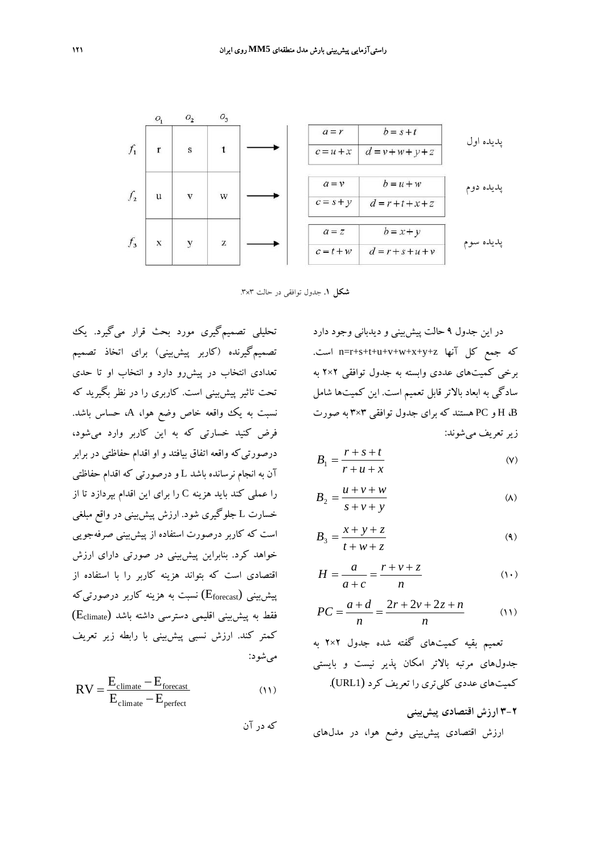

**شكل .1** جدول توافقي در حالت 3×.3

تحليلي تصميمگيري مورد بحث قرار ميگيرد. يك تصميمگيرنده (كاربر پيشبيني) براي اتخاذ تصميم تعدادي انتخاب در پيشرو دارد و انتخاب او تا حدي تحت تاثير پيشبيني است. كاربري را در نظر بگيريد كه نسبت به يك وواقعه خاص وضع هوا، A، حساس باشد. فرض كنيد خسارتي كه به اين كاربر وارد ميشود، درصورتيكه واقعه اتفاق بيافتد و او اقدام حفاظتي در برابر آن به انجام نرسانده باشد L و درصورتي كه اقدام حفاظتي را عملي كند بايد هزينه C را براي اين اقدام بپردازد تا از خسارت L جلوگيري شود. ارزش پيشبيني در واقع مبلغي است كه كاربر درصورت استفاده از پيشبيني صرفهجويي خواهد كرد. بنابراين پيشبيني در صورتي داراي ارزش اقتصادي است كه بتواند هزينه كاربر را با استفاده از  $(\text{E}_{\text{forecast}})$  نسبت به هزينه كاربر درصورتيكه  $(E_{\text{climate}})$  فقط به پيش بيني اقليمي دسترسي داشته باشد كمتر كند. ارزش نسبي پيشبيني با رابطه زير تعريف ميشود:

$$
RV = \frac{E_{\text{climate}} - E_{\text{forecast}}}{E_{\text{climate}} - E_{\text{perfect}}}
$$
(11)

كه در آن

در اين جدول 9 حالت پيشبيني و ديدباني وجود دارد .است n=r+s+t+u+v+w+x+y+z آنها كل جمع كه برخي كميتهاي عددي وابسته به جدول توافقي 2×2 به سادگي به ابعاد بالاتر قابل تعميم است. اين كميتها شامل B، H و PC هستند كه براي جدول توافقي 3×3 به صورت زيرتعريف ميشوند:

$$
B_1 = \frac{r + s + t}{r + u + x} \tag{V}
$$

$$
B_2 = \frac{u + v + w}{s + v + y} \tag{A}
$$

$$
B_3 = \frac{x + y + z}{t + w + z} \tag{4}
$$

$$
H = \frac{a}{a+c} = \frac{r+v+z}{n}
$$
 (1)

$$
PC = \frac{a+d}{n} = \frac{2r + 2v + 2z + n}{n}
$$
 (1)

تعميم بقيه كميتهاي گفته شده جدول 2×2 به جدولهاي مرتبه بالاتر امكان پذير نيست و بايستي كميتهاي عددي كليتري را تعريف كرد (1URL(.

**3-2 ارزش اقتصادي پيشبيني** ارزش اقتصادي پيشبيني وضع هوا، در مدلهاي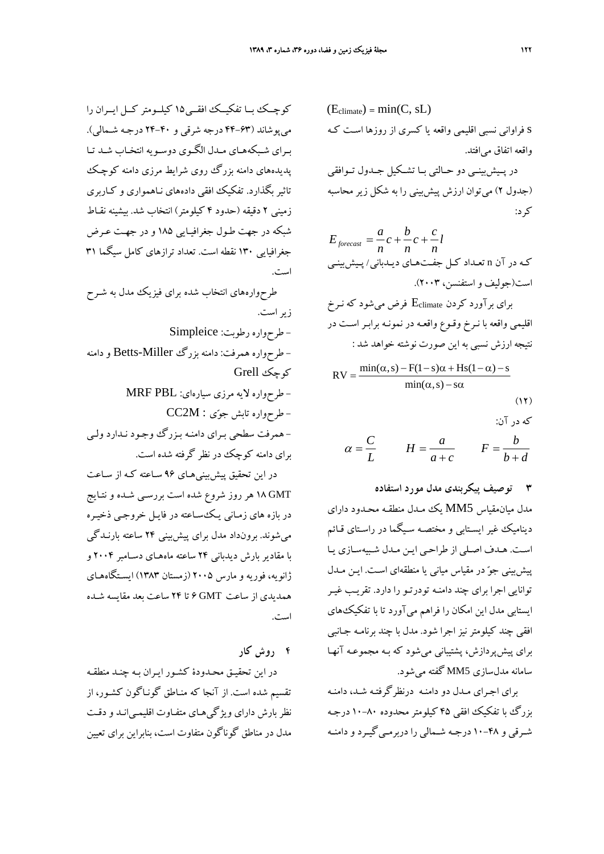كوچــك بــا تفكيــك افقــي15 كيلــومتر كــل ايــران را ميپوشاند (44-63 درجه شرقي و 24-40 درجـه شـمالي ). بـراي شـبكههـاي مـدل الگـوي دوسـويه انتخـاب شـد تـا پديدههاي دامنه بزرگ روي شرايط مرزي دامنه كوچـك تاثير بگذارد. تفكيك افقي دادههاي نـاهمواري و كـاربري زميني 2 دقيقه (حدود 4 كيلومتر) انتخاب شد. بيشينه نقـاط شبكه در جهت طـول جغرافيـا يي 185 و در جهـت عـرض جغرافيايي 130 نقطه است. تعداد ترازهاي كامل سيگما 31 است.

طرحوارههاي انتخاب شده براي فيزيك مدل به شـرح زيراست. - طرحواره رطوبت: Simpleice - طرحواره همرفت: دامنه بزرگ Miller-Betts و دامنه كوچك Grell - طرحواره لايه مرزي سيارهاي: PBL MRF  $CC2M:$  طرح $e$ واره تابش جوّی  $-$ - همرفت سطحي بـراي دامنـه بـزرگ وجـود نـدارد ولـي براي دامنه كوچك در نظر گرفته شده است.

در اين تحقيق پيشبينيهـاي 96 سـاعته كـه از سـاعت GMT 18 هر روز شروع شده است بررسـي شـده و نتـايج در بازه هاي زمـاني يـكسـاعته در فايـل خروجـي ذخيـره ميشوند. برونداد مدل براي پيشبيني 24 ساعته بارنـدگي با مقادير بارش ديدباني 24 ساعته ماههـاي دسـامبر 2004 و ژانويه، فوريه و مارس 2005 (زمستان 1383) ايسـتگاههـاي همديدي از ساعت GMT 6 تا 24 ساعت بعد مقايسه شـده است.

**4 روش كار**

در اين تحقيـق محـدودة كشـور ايـران بـه چ نـد منطقـه تقسيم شده است. از آنجا كه منـاطق گونـاگون كشـور، از نظر بارش داراي ويژگيهـاي متفـاوت اقليمـي انـد و دقـت مدل در مناطق گوناگون متفاوت است، بنابراين براي تعيين

(Eclimate) = min(C, sL) s فراواني نسبي اقليمي واقعه يا كسري از روزها اسـت كـه واقعه اتفاق ميافتد. در پــيشبينــي دو حــالتي بــا تشــكيل جــدول تــوافقي (جدول 2) ميتوان ارزش پيشبيني را به شكل زير محاسبه كرد:

$$
E_{forecast} = \frac{a}{n}c + \frac{b}{n}c + \frac{c}{n}l
$$
\n
$$
\sum_{i=1}^{n} \sum_{j=1}^{n} c_{ij}c_{ij}c_{ij}c_{ij}
$$
\n
$$
C_{i} = \frac{1}{n} \sum_{j=1}^{n} c_{ij}c_{ij}c_{ij}
$$
\n
$$
C_{i} = \sum_{j=1}^{n} c_{ij}c_{ij}c_{ij}
$$
\n
$$
C_{i} = \sum_{j=1}^{n} c_{ij}c_{ij}c_{ij}
$$
\n
$$
C_{i} = \sum_{j=1}^{n} c_{ij}c_{ij}c_{ij}
$$
\n
$$
C_{i} = \sum_{j=1}^{n} c_{ij}c_{ij}c_{ij}
$$
\n
$$
C_{i} = \sum_{j=1}^{n} c_{ij}c_{ij}c_{ij}
$$
\n
$$
C_{i} = \sum_{j=1}^{n} c_{ij}c_{ij}c_{ij}
$$
\n
$$
C_{i} = \sum_{j=1}^{n} c_{ij}c_{ij}c_{ij}
$$
\n
$$
C_{i} = \sum_{j=1}^{n} c_{ij}c_{ij}
$$
\n
$$
C_{i} = \sum_{j=1}^{n} c_{ij}c_{ij}
$$
\n
$$
C_{i} = \sum_{j=1}^{n} c_{ij}c_{ij}
$$
\n
$$
C_{i} = \sum_{j=1}^{n} c_{ij}c_{ij}
$$
\n
$$
C_{i} = \sum_{j=1}^{n} c_{ij}c_{ij}
$$
\n
$$
C_{i} = \sum_{j=1}^{n} c_{ij}c_{ij}
$$
\n
$$
C_{i} = \sum_{j=1}^{n} c_{ij}c_{ij}
$$
\n
$$
C_{i} = \sum_{j=1}^{n} c_{ij}c_{ij}
$$
\n
$$
C_{i} = \sum_{j=1}^{n} c_{ij}c_{ij}
$$
\n
$$
C_{i} = \sum_{j=1}^{n} c_{ij}c_{ij}
$$
\n
$$
C_{i} = \sum_{j=1}^{n} c_{ij}c_{ij}
$$
\n
$$
C_{i} = \sum_{j=1}^{n} c_{ij}c_{ij}
$$
\n<

$$
\alpha = \frac{C}{L} \qquad H = \frac{a}{a+c} \qquad F = \frac{b}{b+d}
$$

**3 توصيف پيكربندي مدل مورد استفاده**

مدل ميانمقياس 5MM يك مـدل منطقـه محـدود داراي ديناميك غير ايسـتابي و مختصـه سـيگما در راسـتاي قـائم اسـت. هـدف اصـلي از طراحـي ايـن مـدل شـبيهسـازي يـا پيشبيني جو در مقياس مياني يا منطقه اي اسـت. ايـن مـدل توانايي اجرا براي چند دامنـه تودرتـو را دارد . تقريـب غيـر ايستابي مدل اين امكان را فراهم مي آورد تا با تفكيكهاي افقي چند كيلومتر نيز اجرا شود . مدل با چند برنامـه جـانبي براي پيشپردازش، پشتيباني ميشود كه بـه مجموعـه آنهـا سامانه مدلسازي 5MM گفته ميشود.

براي اجـراي مـدل دو دامنـه درنظرگرفتـه شـد، دامنـه بزرگ با تفكيك افقي 45 كيلومتر محدوده 10-80 درجـه شـرقي و 10-48 درجـه شـمالي را دربرمـيگيـرد و دامنـه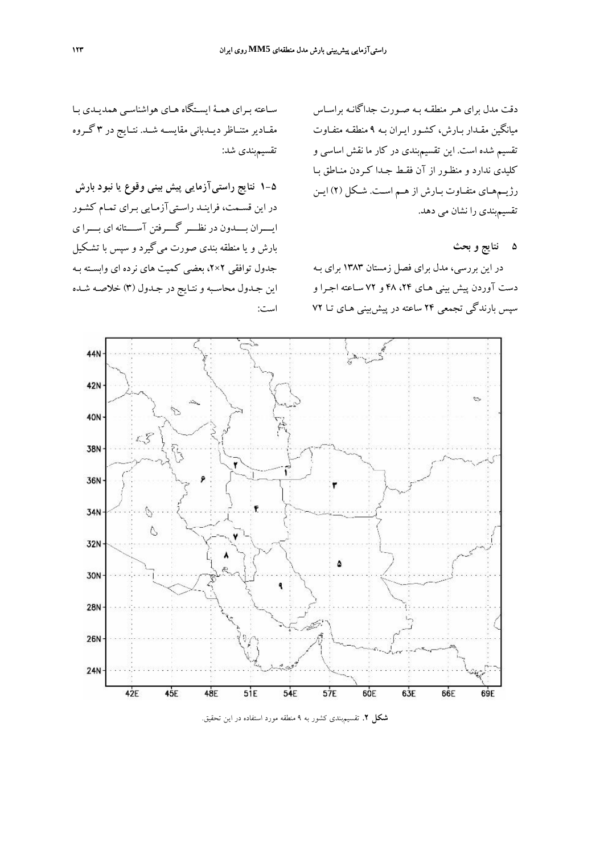دقت مدل براي هـر منطقـه بـه صـورت جداگانـه براسـاس ميانگين مقـدار بـارش، كشـور ايـران بـه 9 منطقـه متفـاوت تقسيم شده است. اين تقسيمبندي در كار ما نقش اساسي و كليدي ندارد و منظـور از آن فقـط جـدا كـردن منـاطق بـا رژيـمهـاي متفـاوت بـارش از هـم اسـت. شـكل (2) ايـن تقسيمبندي را نشان مي دهد.

**5 نتايج و بحث**

در اين بررسي، مدل براي فصل زمستان 1383 براي بـه دست آوردن پيش بيني هـاي ۴۸، ۴۸ و ۷۲ سـاعته اجـرا و سپس بارندگي تجمعي 24 ساعته در پيشبيني هـاي تـا 72

سـاعته بـراي همـة ايسـتگاه هـاي هواشناسـي همديـدي بـا مقــادير متنــاظر ديــدباني مقايســه شــد. نتــايج در 3 گــروه تقسيمبندي شد:

**1-5 نتايج راستيآزمايي پيش بيني وقوع يا نبود بارش** در اين قسـمت، فراينـ د راسـتيآزمـايي بـراي تمـام كشـور ايــــران بــــدون در نظــــر گــــرفتن آســــتانه اي بــــرا ي بارش و يا منطقه بندي صورت مي گيرد و سپس با تشـكيل جدول توافقي 2×،2 بعضي كميت هاي نرده اي وابسـته بـه اين جـدول محاسـبه و نتـايج در جـدول (3) خلاصـه شـده است:



**شكل .2** تقسيمبندي كشور به 9 منطقه مورد استفاده در اين تحقيق.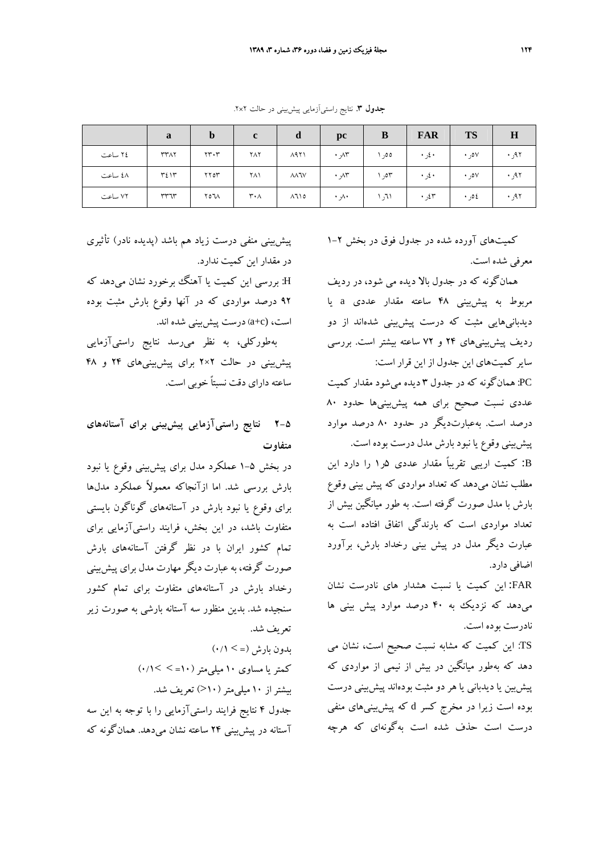**جدول .3** نتايج راستيآزمايي پيشبيني در حالت 2×.2

|         | a           | $\mathbf b$                   | $\mathbf c$ | d           | $\mathbf{p}$ c | B     | <b>FAR</b> | <b>TS</b> | H     |
|---------|-------------|-------------------------------|-------------|-------------|----------------|-------|------------|-----------|-------|
| ٢٤ ساعت | <b>٣٣٨٢</b> | $\mathbf{y} \cdot \mathbf{y}$ | ٢٨٢         | 1791        | $\cdot$ yr     | ەەر ، | ۰ غږ ۰     | ۰٫۰۷      | ۹۲ر ۰ |
| ٤٨ ساعت | ٣٤١٣        | YY                            | ۲۸۱         | <b>AARV</b> | $\cdot$ yr     | ٥٣ر ا | ۰ غږ ۰     | ۰٫۰۷      | ۹۲ر ۰ |
| ۷۲ ساعت | ٣٣٦٣        | ۷۵٦۸                          | ۳۰۸         | ۸٦١٥        | ۸۰ ۰           | ۱٦۱ ر | ۶۲ و.      | ٤ه ر٠     | ۹۲ر • |

كميتهاي آورده شده در جدول فوق در بخش 1-2 معرفي شده است.

همانگونه كه در جدول بالا ديده مي شود، در رديف مربوط به پيشبيني 48 ساعته مقدار عددي a يا ديدبانيهايي مثبت كه درست پيشبيني شدهاند از دو رديف پيشبينيهاي 24 و 72 ساعته بيشتر است. بررسي ساير كميتهاي اين جدول از اين قرار است:

PC: همانگونه كه در جدول 3 ديده ميشود مقدار كميت عددي نسبت صحيح براي همه پيشبينيها حدود 80 درصد است. بهعبارتديگر در حدود 80 درصد موارد پيشبيني وقوع يا نبود بارش مدل درست بوده است.

B: كميت اريبي تقريباً مقدار عددي 5ر1 را دارد اين مطلب نشان ميدهد كه تعداد مواردي كه پيش بيني وقوع بارش با مدل صورت گرفته است. به طور ميانگين بيش از تعداد مواردي است كه بارندگي اتفاق افتاده است به عبارت ديگر مدل در پيش بيني رخداد بارش، برآورد اضافي دارد.

FAR: اين كميت يا نسبت هشدار هاي نادرست نشان ميدهد كه نزديك به 40 درصد موارد پيش بيني ها نادرست بوده است.

TS: اين كميت كه مشابه نسبت صحيح است، نشان مي دهد كه بهطور ميانگين در بيش از نيمي از مواردي كه پيشبين يا ديدباني يا هر دو مثبت بودهاند پيشبيني درست بوده است زيرا در مخرج كسر d كه پيشبينيهاي منفي درست است حذف شده است بهگونهاي كه هرچه

پيشبيني منفي درست زياد هم باشد (پديده نادر) تأثيري در مقدار اين كميت ندارد.

H: بررسي اين كميت يا آهنگ برخورد نشان ميدهد كه 92 درصد مواردي كه در آنها وقوع بارش مثبت بوده است، (c+a(درست پيشبيني شده اند.

بهطوركلي، به نظر ميرسد نتايج راستيآزمايي پيشبيني در حالت 2×2 براي پيشبينيهاي 24 و 48 ساعته داراي دقت نسبتاً خوبي است.

**2-5 نتايج راستيآزمايي پيشبيني براي آستانههاي متفاوت**

در بخش 1-5 عملكرد مدل براي پيشبيني وقوع يا نبود بارش بررسي شد. اما ازآنجاكه معمولاً عملكرد مدلها براي وقوع يا نبود بارش در آستانههاي گوناگون بايستي متفاوت باشد، در اين بخش، فرايند راستيآزمايي براي تمام كشور ايران با در نظر گرفتن آستانههاي بارش صورت گرفته، به عبارت ديگر مهارت مدل براي پيشبيني رخداد بارش در آستانههاي متفاوت براي تمام كشور سنجيده شد. بدين منظور سه آستانه بارشي به صورت زير تعريف شد.  $( \cdot / \setminus \cdot)$ بدون بارش (= > ۰/۱)

كمتريا مساوي 10 ميليمتر(10= > >0/1) بيشتراز 10 ميليمتر(10<) تعريف شد. جدول 4 نتايج فرايند راستيآزمايي را با توجه به اين سه آستانه در پيشبيني 24 ساعته نشان ميدهد. همانگونه كه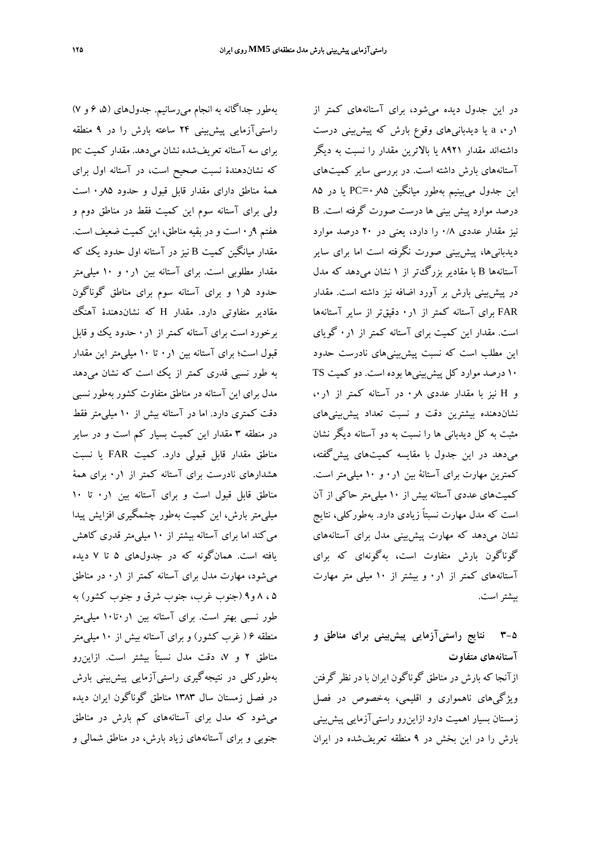بهطور جداگانه به انجام ميرسانيم. جدولهاي (،5 6 و 7) راستيآزمايي پيشبيني 24 ساعته بارش را در 9 منطقه براي سه آستانه تعريفشده نشان ميدهد. مقدار كميت pc كه نشاندهندة نسبت صحيح است، در آستانه اول براي همة مناطق داراي مقدار قابل قبول و حدود 85ر0 است ولي براي آستانه سوم اين كميت فقط در مناطق دوم و هفتم 9ر0 است و در بقيه مناطق، اين كميت ضعيف است. مقدار ميانگين كميت B نيز در آستانه اول حدود يك كه مقدار مطلوبي است. براي آستانه بين 1ر0 و 10 ميليمتر حدود 5ر1 و براي آستانه سوم براي مناطق گوناگون مقادير متفاوتي دارد. مقدار H كه نشاندهندة آهنگ برخورد است براي آستانه كمتر از 1ر0 حدود يك و قابل قبول است؛ براي آستانه بين 1ر0 تا 10 ميليمتر اين مقدار به طور نسبي قدري كمتر از يك است كه نشان ميدهد مدل براي اين آستانه در مناطق متفاوت كشور بهطور نسبي دقت كمتري دارد. اما در آستانه بيش از 10 ميليمتر فقط در منطقه 3 مقدار اين كميت بسيار كم است و در ساير مناطق مقدار قابل قبولي دارد. كميت FAR يا نسبت هشدارهاي نادرست براي آستانه كمتر از 1ر0 براي همة مناطق قابل قبول است و براي آستانه بين 1ر0 تا 10 ميليمتر بارش، اين كميت بهطور چشمگيري افزايش پيدا ميكند اما براي آستانه بيشتر از 10 ميليمتر قدري كاهش يافته است. همانگونه كه در جدولهاي 5 تا 7 ديده ميشود، مهارت مدل براي آستانه كمتر از 1ر0 در مناطق 5 ، 8 و9 (جنوب غرب، جنوب شرق و جنوب كشور) به طور نسبي بهتر است. براي آستانه بين 1ر0تا10 ميليمتر منطقه 6 ( غرب كشور) و براي آستانه بيش از 10 ميليمتر مناطق 2 و ،7 دقت مدل نسبتاً بيشتر است. ازاينرو بهطوركلي در نتيجهگيري راستيآزمايي پيشبيني بارش در فصل زمستان سال 1383 مناطق گوناگون ايران ديده ميشود كه مدل براي آستانههاي كم بارش در مناطق جنوبي و براي آستانههاي زياد بارش، در مناطق شمالي و

در اين جدول ديده ميشود، براي آستانههاي كمتر از 1ر،0 a يا ديدبانيهاي وقوع بارش كه پيشبيني درست داشتهاند مقدار 8921 يا بالاترين مقدار را نسبت به ديگر آستانههاي بارش داشته است. در بررسي ساير كميتهاي اين جدول ميبينيم بهطور ميانگين ٨۵ر ·=PC يا در ٨۵ درصد موارد پيش بيني ها درست صورت گرفته است. B نيز مقدار عددي 0/8 را دارد، يعني در 20 درصد موارد ديدبانيها، پيشبيني صورت نگرفته است اما براي ساير آستانهها B با مقادير بزرگتر از 1 نشان ميدهد كه مدل در پيشبيني بارش بر آورد اضافه نيز داشته است. مقدار FAR براي آستانه كمتر از 1ر0 دقيقتر از ساير آستانهها است. مقدار اين كميت براي آستانه كمتر از 1ر0 گوياي اين مطلب است كه نسبت پيشبينيهاي نادرست حدود 10 درصد موارد كل پيشبينيها بوده است. دو كميت TS  $\mathfrak{c}$ و H نيز با مقدار عددي  $\mathfrak{c}$ ر . در آستانه كمتر از 1ر نشاندهنده بيشترين دقت و نسبت تعداد پيشبينيهاي مثبت به كل ديدباني ها را نسبت به دو آستانه ديگر نشان ميدهد در اين جدول با مقايسه كميتهاي پيشگفته، كمترين مهارت براي آستانة بين 1ر0 و 10 ميليمتر است. كميتهاي عددي آستانه بيش از 10 ميليمتر حاكي از آن است كه مدل مهارت نسبتاً زيادي دارد. بهطوركلي، نتايج نشان ميدهد كه مهارت پيشبيني مدل براي آستانههاي گوناگون بارش متفاوت است، بهگونهاي كه براي آستانههاي كمتر از 1ر0 و بيشتر از 10 ميلي متر مهارت بيشتراست.

## **3-5 نتايج راستيآزمايي پيشبيني براي مناطق و آستانههاي متفاوت**

ازآنجا كه بارش در مناطق گوناگون ايران با در نظر گرفتن ويژگيهاي ناهمواري و اقليمي، بهخصوص در فصل زمستان بسيار اهميت دارد ازاينرو راستيآزمايي پيشبيني بارش را در اين بخش در 9 منطقه تعريفشده در ايران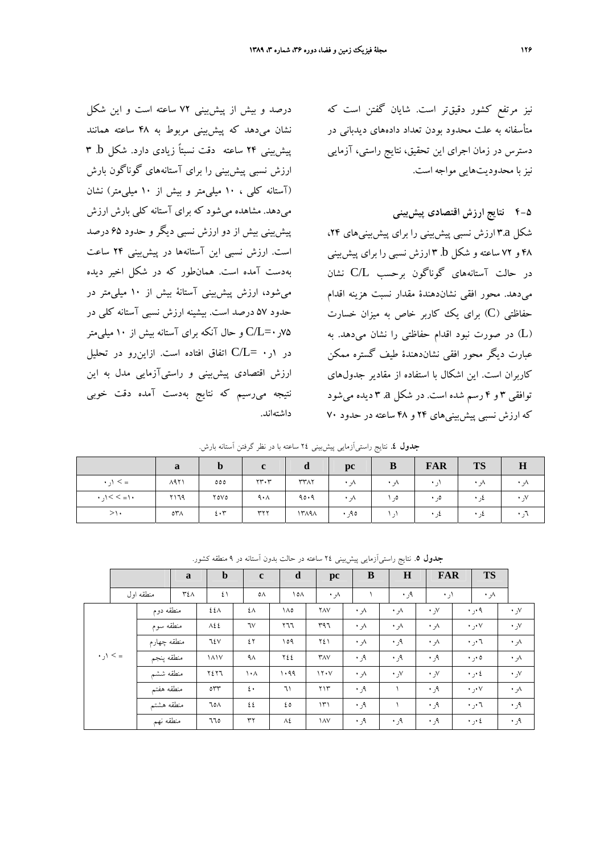نيز مرتفع كشور دقيقتر است. شايان گفتن است كه متأسفانه به علت محدود بودن تعداد دادههاي ديدباني در دسترس در زمان اجراي اين تحقيق، نتايج راستي، آزمايي نيزبا محدوديتهايي مواجه است.

#### **4-5 نتايج ارزش اقتصادي پيشبيني**

شكل a3. ارزش نسبي پيشبيني را براي پيشبينيهاي ،24 48 و 72 ساعته و شكل b. 3 ارزش نسبي را براي پيشبيني در حالت آستانههاي گوناگون برحسب L/C نشان ميدهد. محور افقي نشاندهندة مقدار نسبت هزينه اقدام حفاظتي (C (براي يك كاربر خاص به ميزان خسارت (L (در صورت نبود اقدام حفاظتي را نشان ميدهد. به عبارت ديگر محور افقي نشاندهندة طيف گستره ممكن كاربران است. اين اشكال با استفاده از مقادير جدولهاي توافقي 3 و 4 رسم شده است. در شكل a. 3 ديده ميشود كه ارزش نسبي پيشبينيهاي 24 و 48 ساعته در حدود 70

درصد و بيش از پيشبيني 72 ساعته است و اين شكل نشان ميدهد كه پيشبيني مربوط به 48 ساعته همانند پيشبيني 24 ساعته دقت نسبتاً زيادي دارد. شكل b. 3 ارزش نسبي پيشبيني را براي آستانههاي گوناگون بارش (آستانه كلي ، 10 ميليمتر و بيش از 10 ميليمتر) نشان ميدهد. مشاهده ميشود كه براي آستانه كلي بارش ارزش پيشبيني بيش از دو ارزش نسبي ديگر و حدود 65 درصد است. ارزش نسبي اين آستانهها در پيشبيني 24 ساعت بهدست آمده است. همانطور كه در شكل اخير ديده ميشود، ارزش پيشبيني آستانة بيش از 10 ميليمتر در حدود 57 درصد است. بيشينه ارزش نسبي آستانه كلي در ر  $C/L$ ر - $C/L$ و حال آنكه براي آستانه بيش از ١٠ ميلي متر در 1ر $L= C/L = 1$  اتفاق افتاده است. ازاين $\mathbb{C}$ و تحليل ارزش اقتصادي پيشبيني و راستيآزمايي مدل به اين نتيجه ميرسيم كه نتايج بهدست آمده دقت خوبي داشتهاند.

**جدول .4** نتايج راستيآزمايي پيشبيني 24 ساعته با در نظر گرفتن آستانه بارش.

|                               | a    | D           | c                             | a           | pc              | B              | <b>FAR</b> | <b>TS</b>           | $\bf H$ |
|-------------------------------|------|-------------|-------------------------------|-------------|-----------------|----------------|------------|---------------------|---------|
| $\cdot$ , $\cdot$ $\cdot$ =   | 1971 | 000         | $\mathbf{y} \cdot \mathbf{y}$ | <b>٣٣٨٢</b> | $\cdot \lambda$ | $\cdot \wedge$ | $\ddotsc$  | $\cdot \lambda$     |         |
| $\cdot$ / = $>$ > / ر $\cdot$ | ۲۱٦۹ | ۲٥V٥        | $4 \cdot \wedge$              | 90.9        | ۰,۸             | , 0            | $\cdot$ ,0 | $\cdot$ , 2         |         |
| >۱・                           | ۵۳۸  | $2 \cdot 7$ | ٣٢٢                           | 14141       | ۹۰٫۹۵           | ۰.۱            | لٹ ∙       | $\cdot$ , $\lambda$ |         |

**جدول** .**5** نتايج راستيآزمايي پيشبيني 24 ساعته در حالت بدون آستانه در 9 منطقه كشور.

|                             |  |             | a   | $\mathbf b$ | $\mathbf c$      | d    | pc                         | B                | H                | <b>FAR</b>       | <b>TS</b>                |                   |
|-----------------------------|--|-------------|-----|-------------|------------------|------|----------------------------|------------------|------------------|------------------|--------------------------|-------------------|
|                             |  | منطقه اول   | ٣٤٨ | ٤١          | ٥٨               | ۱٥۸  | ۸ر ۰                       |                  | ۹ر ۰             | ۱ر ۰             | ٨ر ٠                     |                   |
|                             |  | منطقه دوم   |     | ٤٤٨         | ٤٨               | ۱۸٥  | <b>YAV</b>                 | ٨ر ٠             | ٨ر ٠             | ۷ر ۰             | $\cdot$ , $\cdot$ 9      | $\cdot$ , $\vee$  |
|                             |  | منطقه سوم   |     | ۸٤٤         | ٦٧               | ۲٦٦  | ۳۹٦                        | $\cdot \sqrt{ }$ | $\cdot \sqrt{ }$ | $\cdot \sqrt{ }$ | $\cdot$ , $\cdot$ $\vee$ | $\cdot$ , $\vee$  |
|                             |  | منطقه چهارم |     | ٦٤V         | ٤٢               | ۱٥۹  | ٢٤١                        | ٨ر ٠             | ۹ر ۰             | ٨ر ٠             | $\cdot$ , $\cdot$ $\tau$ | ۸ر ۰              |
| $\cdot$ , $\cdot$ $\cdot$ = |  | منطقه پنجم  |     | <b>1717</b> | $4\lambda$       | ٢٤٤  | $\mathsf{r}_{\mathsf{AV}}$ | ۹ر ۰             | ۹ر ۰             | ۹ر ۰             | $\cdot$ , $\cdot$ 0      | ۸ر ۰              |
|                             |  | منطقه ششم   |     | ٢٤٢٦        | ۱۰۸              | 1.99 | 11.4                       | $\cdot \sqrt{ }$ | $\cdot$ , $\vee$ | $\cdot$ , $V$    | $\cdot$ , $\cdot$ 2      | $\cdot$ , $\vee$  |
|                             |  | منطقه هفتم  |     | $\circ$     | $\mathfrak{t}$ . | ٦١   | ۲۱۳                        | ۹ر ۰             |                  | ۹ر ۰             | $\cdot$ , $\cdot$ $\vee$ | ۸ر ۰              |
|                             |  | منطقه هشتم  |     | ٦٥٨         | ٤٤               | ٤٥   | $\Upsilon$                 | ۹ر ۰             |                  | ۹ر ۰             | $\cdot$ , $\cdot$ $\tau$ | ۰ ر $\mathcal{A}$ |
|                             |  | منطقه نهم   |     | 770         | ٣٢               | ٨٤   | ١٨V                        | ۹ر ۰             | ۹ر ۰             | ۹ر ۰             | $\cdot$ , $\cdot$ 2      | ۹ر ۰              |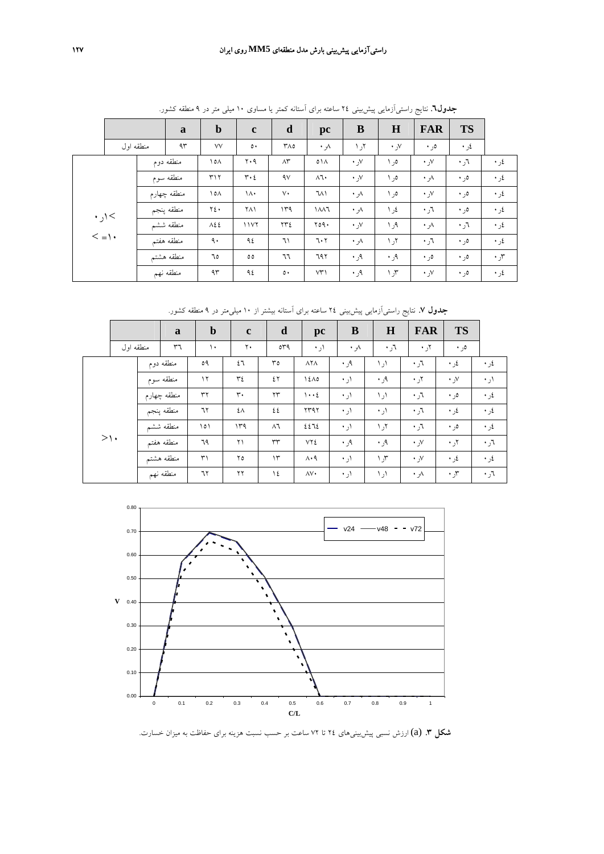|                     |                 |                         | a           | $\mathbf b$  | $\mathbf c$        | $\mathbf d$                                                                   | pc           | $\bf{B}$         | $\bf H$      | <b>FAR</b>       | <b>TS</b>               |      |
|---------------------|-----------------|-------------------------|-------------|--------------|--------------------|-------------------------------------------------------------------------------|--------------|------------------|--------------|------------------|-------------------------|------|
|                     | منطقه اول       |                         | ۹۳          | VV           | $\circ\cdot$       | $Y \wedge o$                                                                  | ٨ر ٠         | ۲ر ۱             | √ر ∙         | ەر •             | $\cdot$ $\cdot$ $\cdot$ |      |
|                     |                 |                         | منطقه دوم   | ۱٥۸          | ۲۰۹                | $\wedge\stackrel{\scriptscriptstyle\mathsf{M}}{\scriptscriptstyle\mathsf{F}}$ | $01\Lambda$  | $\cdot$ y        | ەر ۱         | $\cdot$ , $\vee$ | ٦ر ٠                    | ٤ر ٠ |
|                     |                 |                         | منطقه سوم   | ۳۱۲          | $r \cdot \epsilon$ | $\gamma$                                                                      | $\Lambda$ ٦. | $\cdot$ y        | ەر ۱         | $\cdot \sqrt{ }$ | ەر •                    | ٤ر ٠ |
|                     |                 |                         | منطقه چهارم | $\lambda$    | $\lambda$          | $\vee$                                                                        | ٦٨١          | ٨ر ٠             | ەر ۱         | $\cdot$ , $\vee$ | ەر •                    | ٤ر ٠ |
|                     | $\cdot$ ) $\lt$ |                         | منطقه پنجم  | ٢٤٠          | ۲۸۱                | ۱۳۹                                                                           | 111          | $\cdot \sqrt{ }$ | ٤ر ١         | ٦ر ٠             | ەر •                    | ٤ر ٠ |
|                     |                 | منطقه ششم<br>منطقه هفتم |             | $\lambda$ ٤٤ | 1177               | ٢٣٤                                                                           | Y09.         | $\cdot \,$ y     | ۹ر ۱         | $\cdot \sqrt{ }$ | $\cdot$ , $\tau$        | ٤ر ٠ |
| $\langle =   \cdot$ |                 |                         |             | ٩.           | ٩٤                 | ٦١                                                                            | 7.7          | $\cdot \sqrt{ }$ | ۲ر ۱         | ٦ر ٠             | ەر •                    | ٤ر ٠ |
|                     |                 |                         | منطقه هشتم  | ٦٥           | $\circ \circ$      | ٦٦                                                                            | 797          | ۹ر ۰             | ۹ر ۰         | ەر •             | ەر •                    | ۳ر ۰ |
|                     |                 |                         | منطقه نهم   | ۹۳           | ۹٤                 | $\circ \cdot$                                                                 | VT'          | ۹ر ۰             | $\gamma$ ر ۱ | $\cdot$ , $V$    | $\cdot$ ,0              | ٤ر ٠ |

**جدول.6** نتايج راستيآزمايي پيشبيني 24 ساعته براي آستانه كمتر يا مساوي 10 ميلي متر در 9 منطقه كشور.

**جدول .7** نتايج راستيآزمايي پيشبيني 24 ساعته براي آستانه بيشتر از 10 ميليمتر در 9 منطقه كشور.

|           |           | a           | $\mathbf b$ | $\mathbf c$       | d              | pc                          | B                 | $\bf H$ | <b>FAR</b>    | <b>TS</b>        |               |
|-----------|-----------|-------------|-------------|-------------------|----------------|-----------------------------|-------------------|---------|---------------|------------------|---------------|
|           | منطقه اول | ٣٦          | ١.          | ۲.                | 049            | ۱ر ۰                        | ٨ر ٠              | ٦ر ٠    | $\cdot$ ,۲    | ه, ۰             |               |
|           |           | منطقه دوم   | ٥٩          | ٤٦                | ٣٥             | $\lambda$ Y $\lambda$       | ۹ر ۰              | ۱ر ۱    | ٦ر ٠          | ٤ر ٠             | ٤ر ٠          |
|           |           | منطقه سوم   | $\gamma$    | ٣٤                | ٤٢             | 12A0                        | ۱, ۰              | ۹ر ۰    | ۲ر ۰          | $\cdot$ , $\vee$ | ۱ر •          |
|           |           | منطقه چهارم | ٣٢          | $\mathsf{r}\cdot$ | $\gamma\gamma$ | $\cdots$                    | ۱ر •              | ۱ر ۱    | ٦ر ٠          | ەر •             | ٤ر ٠          |
|           |           | منطقه پنجم  | ٦٢          | ٤٨                | ٤٤             | ۲۳۹۲                        | ۱ر ۰              | ۱ر •    | ٦ر ٠          | ٤ر ٠             | ٤ر ٠          |
|           |           | منطقه ششم   | ۱٥١         | ۱۳۹               | $\wedge$ ٦     | ٤٤٦٤                        | ۱ر ۰              | ۲ر ۱    | ٦ر ٠          | ەر •             | ٤ر ٠          |
| $> \cdot$ |           | منطقه هفتم  | ٦٩          | ۲۱                | ٣٣             | ٧٢٤                         | $, \cdot, \alpha$ | ٠,٩     | $\cdot$ , $V$ | ۲ر ۰             | $r_{\rm c}$ ۰ |
|           |           | منطقه هشتم  | $\uparrow$  | ۲٥                | $\mathcal{N}$  | $\Lambda \cdot \mathcal{A}$ | ۱ر •              | ۳ر ۱    | $\cdot$ , $V$ | ٤ر ٠             | ٤ر ٠          |
|           |           | منطقه نهم   | ٦٢          | ٢٢                | ۱٤             | ۸V٠                         | ۱ر •              | ۱ر ۱    | ۸ر ۰          | ۳ر .             | $r_{\rm t}$ ۰ |



**شكل .3** (a (ارزش نسبي پيشبينيهاي 24 تا 72 ساعت بر حسب نسبت هزينه براي حفاظت به ميزان خسارت.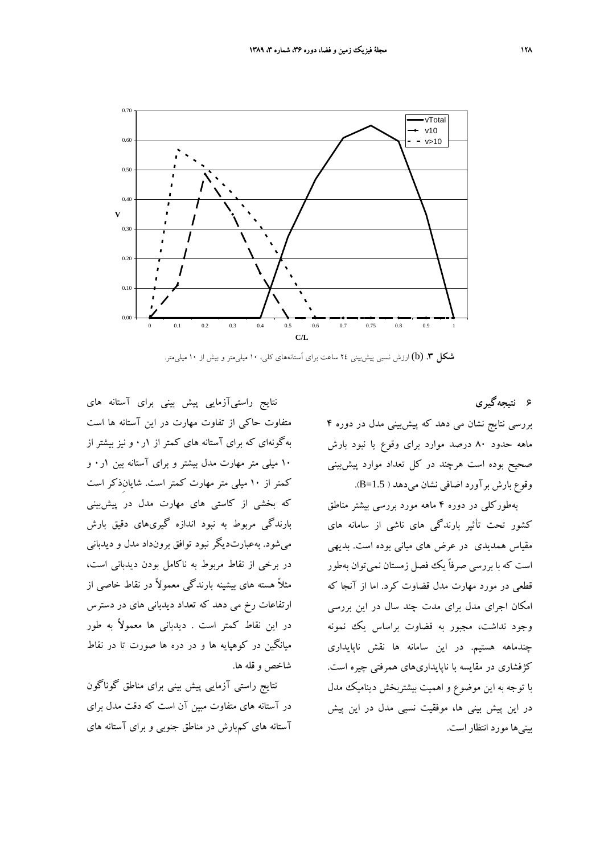

**شكل .3** (b (ارزش نسبي پيشبيني 24 ساعت براي آستانههاي كلي، 10 ميليمتر و بيش از 10 ميليمتر.

**6 نتيجهگيري**

بررسي نتايج نشان مي دهد كه پيشبيني مدل در دوره 4 ماهه حدود 80 درصد موارد براي وقوع يا نبود بارش صحيح بوده است هرچند در كل تعداد موارد پيشبيني وقوع بارش برآورد اضافي نشان ميدهد ( 1.5=B(.

بهطوركلي در دوره 4 ماهه مورد بررسي بيشتر مناطق كشور تحت تأثير بارندگي هاي ناشي از سامانه هاي مقياس همديدي در عرض هاي مياني بوده است. بديهي است كه با بررسي صرفاً يك فصل زمستان نميتوان بهطور قطعي در مورد مهارت مدل قضاوت كرد. اما از آنجا كه امكان اجراي مدل براي مدت چند سال در اين بررسي وجود نداشت، مجبور به قضاوت براساس يك نمونه چندماهه هستيم. در اين سامانه ها نقش ناپايداري كژفشاري در مقايسه با ناپايداريهاي همرفتي چيره است. با توجه به اين موضوع و اهميت بيشتربخش ديناميك مدل در اين پيش بيني ها، موفقيت نسبي مدل در اين پيش بينيها مورد انتظار است.

نتايج راستيآزمايي پيش بيني براي آستانه هاي متفاوت حاكي از تفاوت مهارت در اين آستانه ها است بهگونهاي كه براي آستانه هاي كمتر از 1ر0 و نيز بيشتر از 10 ميلي متر مهارت مدل بيشتر و براي آستانه بين 1ر0 و كمتر از 10 ميلي متر مهارت كمتر است. شايانِذكر است كه بخشي از كاستي هاي مهارت مدل در پيشبيني بارندگي مربوط به نبود اندازه گيريهاي دقيق بارش ميشود. بهعبارتديگر نبود توافق برونداد مدل و ديدباني در برخي از نقاط مربوط به ناكامل بودن ديدباني است، مثلاً هسته هاي بيشينه بارندگي معمولاً در نقاط خاصي از ارتفاعات رخ مي دهد كه تعداد ديدباني هاي در دسترس در اين نقاط كمتر است . ديدباني ها معمولاً به طور ميانگين در كوهپايه ها و در دره ها صورت تا در نقاط شاخص و قله ها.

نتايج راستي آزمايي پيش بيني براي مناطق گوناگون در آستانه هاي متفاوت مبين آن است كه دقت مدل براي آستانه هاي كمبارش در مناطق جنوبي و براي آستانه هاي